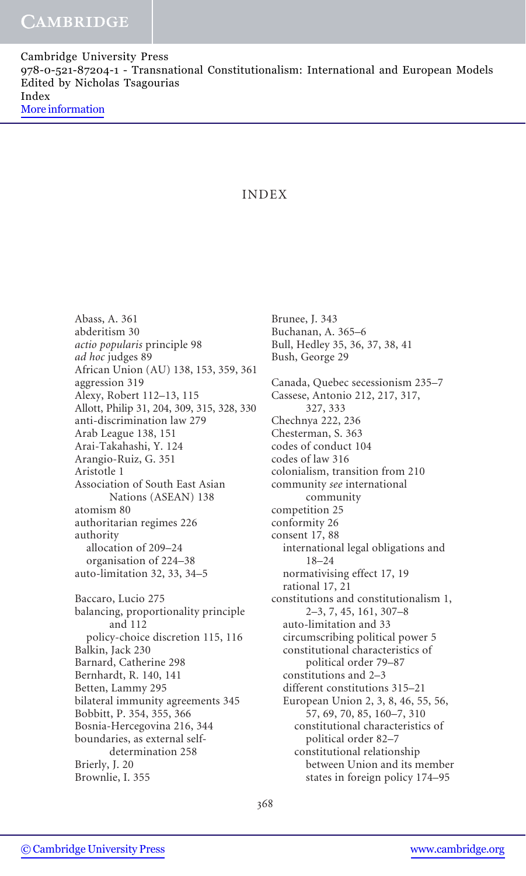# INDEX

Abass, A. 361 abderitism 30 actio popularis principle 98 ad hoc judges 89 African Union (AU) 138, 153, 359, 361 aggression 319 Alexy, Robert 112–13, 115 Allott, Philip 31, 204, 309, 315, 328, 330 anti-discrimination law 279 Arab League 138, 151 Arai-Takahashi, Y. 124 Arangio-Ruiz, G. 351 Aristotle 1 Association of South East Asian Nations (ASEAN) 138 atomism 80 authoritarian regimes 226 authority allocation of 209–24 organisation of 224–38 auto-limitation 32, 33, 34–5 Baccaro, Lucio 275 balancing, proportionality principle and 112 policy-choice discretion 115, 116 Balkin, Jack 230 Barnard, Catherine 298 Bernhardt, R. 140, 141 Betten, Lammy 295 bilateral immunity agreements 345 Bobbitt, P. 354, 355, 366 Bosnia-Hercegovina 216, 344 boundaries, as external selfdetermination 258 Brierly, J. 20 Brownlie, I. 355

Brunee, J. 343 Buchanan, A. 365–6 Bull, Hedley 35, 36, 37, 38, 41 Bush, George 29 Canada, Quebec secessionism 235–7 Cassese, Antonio 212, 217, 317, 327, 333 Chechnya 222, 236 Chesterman, S. 363 codes of conduct 104 codes of law 316 colonialism, transition from 210 community see international community competition 25 conformity 26 consent 17, 88 international legal obligations and 18–24 normativising effect 17, 19 rational 17, 21 constitutions and constitutionalism 1, 2–3, 7, 45, 161, 307–8 auto-limitation and 33 circumscribing political power 5 constitutional characteristics of political order 79–87 constitutions and 2–3 different constitutions 315–21 European Union 2, 3, 8, 46, 55, 56, 57, 69, 70, 85, 160–7, 310 constitutional characteristics of political order 82–7 constitutional relationship between Union and its member states in foreign policy 174–95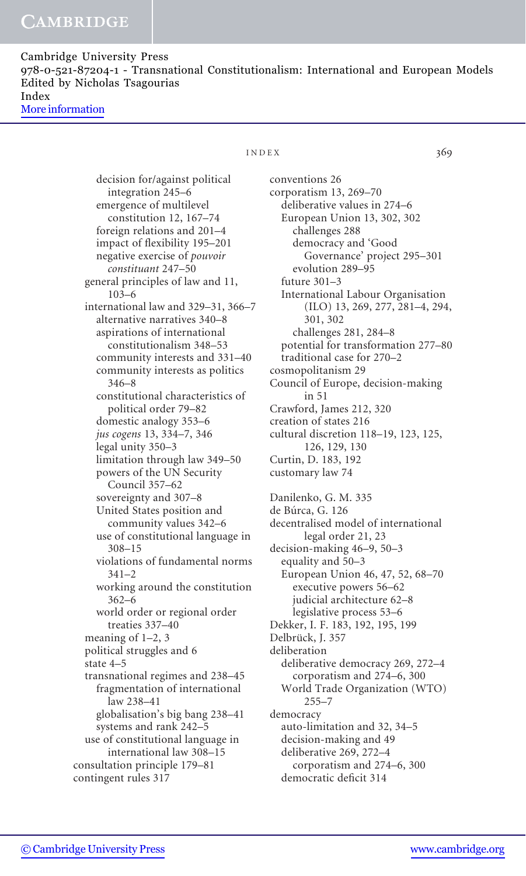### $INDEX$  369

decision for/against political integration 245–6 emergence of multilevel constitution 12, 167–74 foreign relations and 201–4 impact of flexibility 195–201 negative exercise of pouvoir constituant 247–50 general principles of law and 11, 103–6 international law and 329–31, 366–7 alternative narratives 340–8 aspirations of international constitutionalism 348–53 community interests and 331–40 community interests as politics 346–8 constitutional characteristics of political order 79–82 domestic analogy 353–6 jus cogens 13, 334–7, 346 legal unity 350–3 limitation through law 349–50 powers of the UN Security Council 357–62 sovereignty and 307–8 United States position and community values 342–6 use of constitutional language in 308–15 violations of fundamental norms 341–2 working around the constitution 362–6 world order or regional order treaties 337–40 meaning of 1–2, 3 political struggles and 6 state 4–5 transnational regimes and 238–45 fragmentation of international law 238–41 globalisation's big bang 238–41 systems and rank 242–5 use of constitutional language in international law 308–15 consultation principle 179–81 contingent rules 317

conventions 26 corporatism 13, 269–70 deliberative values in 274–6 European Union 13, 302, 302 challenges 288 democracy and 'Good Governance' project 295–301 evolution 289–95 future 301–3 International Labour Organisation (ILO) 13, 269, 277, 281–4, 294, 301, 302 challenges 281, 284–8 potential for transformation 277–80 traditional case for 270–2 cosmopolitanism 29 Council of Europe, decision-making in 51 Crawford, James 212, 320 creation of states 216 cultural discretion 118–19, 123, 125, 126, 129, 130 Curtin, D. 183, 192 customary law 74 Danilenko, G. M. 335 de Búrca, G. 126 decentralised model of international legal order 21, 23 decision-making 46–9, 50–3 equality and 50–3 European Union 46, 47, 52, 68–70 executive powers 56–62 judicial architecture 62–8 legislative process 53–6 Dekker, I. F. 183, 192, 195, 199 Delbrück, J. 357 deliberation deliberative democracy 269, 272–4 corporatism and 274–6, 300 World Trade Organization (WTO) 255–7 democracy auto-limitation and 32, 34–5 decision-making and 49 deliberative 269, 272–4 corporatism and 274–6, 300 democratic deficit 314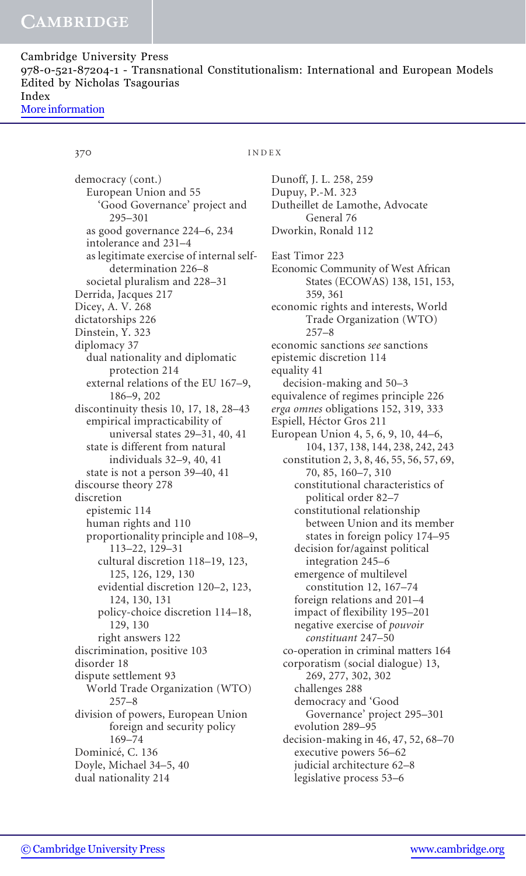370 INDEX

democracy (cont.) European Union and 55 'Good Governance' project and 295–301 as good governance 224–6, 234 intolerance and 231–4 as legitimate exercise of internal selfdetermination 226–8 societal pluralism and 228–31 Derrida, Jacques 217 Dicey, A. V. 268 dictatorships 226 Dinstein, Y. 323 diplomacy 37 dual nationality and diplomatic protection 214 external relations of the EU 167–9, 186–9, 202 discontinuity thesis 10, 17, 18, 28–43 empirical impracticability of universal states 29–31, 40, 41 state is different from natural individuals 32–9, 40, 41 state is not a person 39–40, 41 discourse theory 278 discretion epistemic 114 human rights and 110 proportionality principle and 108–9, 113–22, 129–31 cultural discretion 118–19, 123, 125, 126, 129, 130 evidential discretion 120–2, 123, 124, 130, 131 policy-choice discretion 114–18, 129, 130 right answers 122 discrimination, positive 103 disorder 18 dispute settlement 93 World Trade Organization (WTO) 257–8 division of powers, European Union foreign and security policy 169–74 Dominicé, C. 136 Doyle, Michael 34–5, 40 dual nationality 214

Dunoff, J. L. 258, 259 Dupuy, P.-M. 323 Dutheillet de Lamothe, Advocate General 76 Dworkin, Ronald 112 East Timor 223 Economic Community of West African States (ECOWAS) 138, 151, 153, 359, 361 economic rights and interests, World Trade Organization (WTO) 257–8 economic sanctions see sanctions epistemic discretion 114 equality 41 decision-making and 50–3 equivalence of regimes principle 226 erga omnes obligations 152, 319, 333 Espiell, Héctor Gros 211 European Union 4, 5, 6, 9, 10, 44–6, 104, 137, 138, 144, 238, 242, 243 constitution 2, 3, 8, 46, 55, 56, 57, 69, 70, 85, 160–7, 310 constitutional characteristics of political order 82–7 constitutional relationship between Union and its member states in foreign policy 174–95 decision for/against political integration 245–6 emergence of multilevel constitution 12, 167–74 foreign relations and 201–4 impact of flexibility 195–201 negative exercise of pouvoir constituant 247–50 co-operation in criminal matters 164 corporatism (social dialogue) 13, 269, 277, 302, 302 challenges 288 democracy and 'Good Governance' project 295–301 evolution 289–95 decision-making in 46, 47, 52, 68–70 executive powers 56–62 judicial architecture 62–8 legislative process 53–6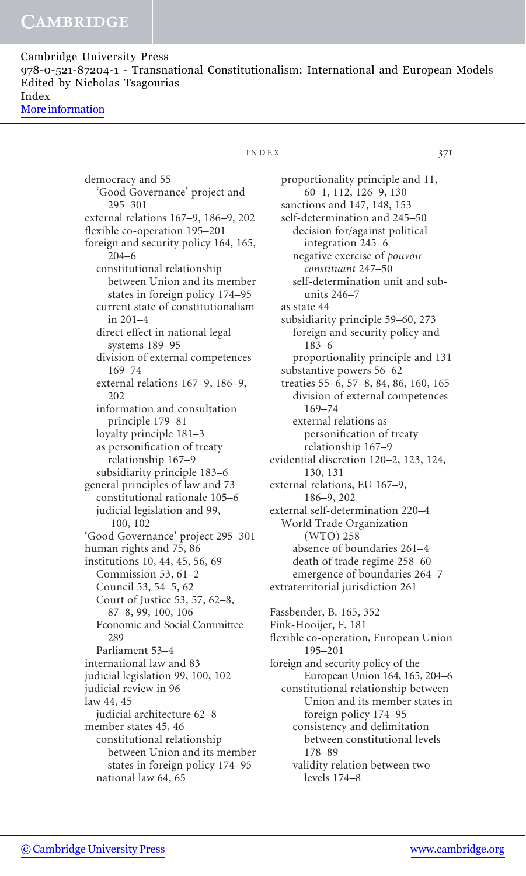> democracy and 55 'Good Governance' project and 295–301 external relations 167–9, 186–9, 202 flexible co-operation 195–201 foreign and security policy 164, 165, 204–6 constitutional relationship between Union and its member states in foreign policy 174–95 current state of constitutionalism in 201–4 direct effect in national legal systems 189–95 division of external competences 169–74 external relations 167–9, 186–9, 202 information and consultation principle 179–81 loyalty principle 181–3 as personification of treaty relationship 167–9 subsidiarity principle 183–6 general principles of law and 73 constitutional rationale 105–6 judicial legislation and 99, 100, 102 'Good Governance' project 295–301 human rights and 75, 86 institutions 10, 44, 45, 56, 69 Commission 53, 61–2 Council 53, 54–5, 62 Court of Justice 53, 57, 62–8, 87–8, 99, 100, 106 Economic and Social Committee 289 Parliament 53–4 international law and 83 judicial legislation 99, 100, 102 judicial review in 96 law 44, 45 judicial architecture 62–8 member states 45, 46 constitutional relationship between Union and its member states in foreign policy 174–95 national law 64, 65

### INDEX 371

proportionality principle and 11, 60–1, 112, 126–9, 130 sanctions and 147, 148, 153 self-determination and 245–50 decision for/against political integration 245–6 negative exercise of pouvoir constituant 247–50 self-determination unit and subunits 246–7 as state 44 subsidiarity principle 59–60, 273 foreign and security policy and 183–6 proportionality principle and 131 substantive powers 56–62 treaties 55–6, 57–8, 84, 86, 160, 165 division of external competences 169–74 external relations as personification of treaty relationship 167–9 evidential discretion 120–2, 123, 124, 130, 131 external relations, EU 167–9, 186–9, 202 external self-determination 220–4 World Trade Organization (WTO) 258 absence of boundaries 261–4 death of trade regime 258–60 emergence of boundaries 264–7 extraterritorial jurisdiction 261 Fassbender, B. 165, 352 Fink-Hooijer, F. 181 flexible co-operation, European Union 195–201 foreign and security policy of the European Union 164, 165, 204–6 constitutional relationship between Union and its member states in foreign policy 174–95 consistency and delimitation between constitutional levels 178–89 validity relation between two levels 174–8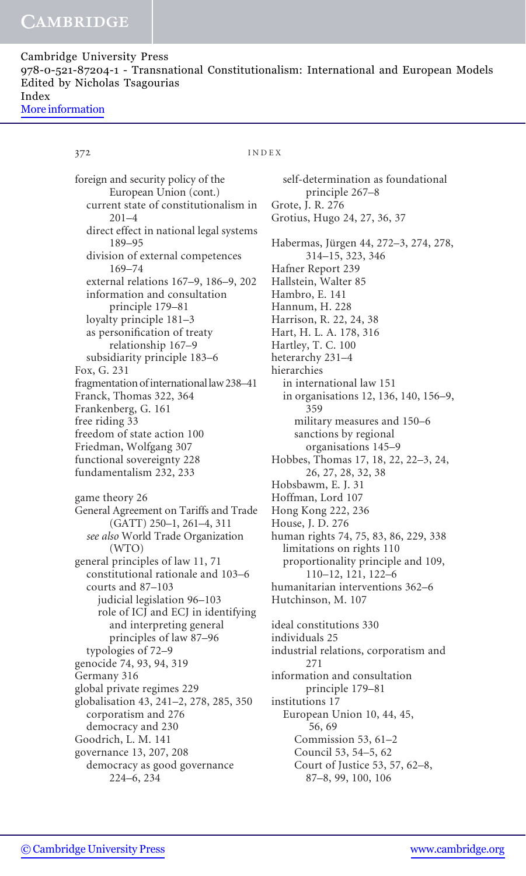372 INDEX

foreign and security policy of the European Union (cont.) current state of constitutionalism in 201–4 direct effect in national legal systems 189–95 division of external competences 169–74 external relations 167–9, 186–9, 202 information and consultation principle 179–81 loyalty principle 181–3 as personification of treaty relationship 167–9 subsidiarity principle 183–6 Fox, G. 231 fragmentation of international law 238–41 Franck, Thomas 322, 364 Frankenberg, G. 161 free riding 33 freedom of state action 100 Friedman, Wolfgang 307 functional sovereignty 228 fundamentalism 232, 233 game theory 26 General Agreement on Tariffs and Trade (GATT) 250–1, 261–4, 311 see also World Trade Organization (WTO) general principles of law 11, 71 constitutional rationale and 103–6 courts and 87–103 judicial legislation 96–103 role of ICJ and ECJ in identifying and interpreting general principles of law 87–96 typologies of 72–9 genocide 74, 93, 94, 319 Germany 316 global private regimes 229 globalisation 43, 241–2, 278, 285, 350 corporatism and 276 democracy and 230 Goodrich, L. M. 141 governance 13, 207, 208 democracy as good governance 224–6, 234

self-determination as foundational principle 267–8 Grote, J. R. 276 Grotius, Hugo 24, 27, 36, 37 Habermas, Jürgen 44, 272–3, 274, 278, 314–15, 323, 346 Hafner Report 239 Hallstein, Walter 85 Hambro, E. 141 Hannum, H. 228 Harrison, R. 22, 24, 38 Hart, H. L. A. 178, 316 Hartley, T. C. 100 heterarchy 231–4 hierarchies in international law 151 in organisations 12, 136, 140, 156–9, 359 military measures and 150–6 sanctions by regional organisations 145–9 Hobbes, Thomas 17, 18, 22, 22–3, 24, 26, 27, 28, 32, 38 Hobsbawm, E. J. 31 Hoffman, Lord 107 Hong Kong 222, 236 House, J. D. 276 human rights 74, 75, 83, 86, 229, 338 limitations on rights 110 proportionality principle and 109, 110–12, 121, 122–6 humanitarian interventions 362–6 Hutchinson, M. 107 ideal constitutions 330 individuals 25 industrial relations, corporatism and 271 information and consultation principle 179–81 institutions 17 European Union 10, 44, 45, 56, 69 Commission 53, 61–2 Council 53, 54–5, 62 Court of Justice 53, 57, 62–8,

87–8, 99, 100, 106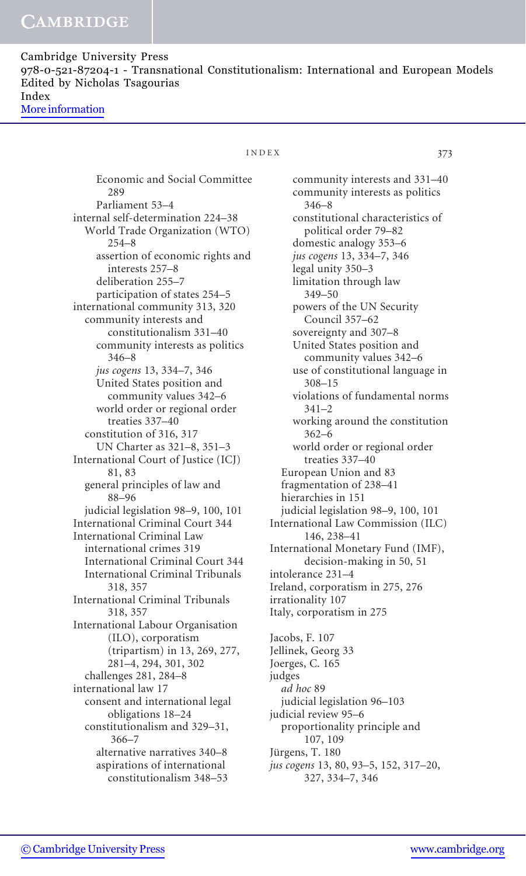## INDEX 373

Economic and Social Committee 289 Parliament 53–4 internal self-determination 224–38 World Trade Organization (WTO) 254–8 assertion of economic rights and interests 257–8 deliberation 255–7 participation of states 254–5 international community 313, 320 community interests and constitutionalism 331–40 community interests as politics 346–8 jus cogens 13, 334–7, 346 United States position and community values 342–6 world order or regional order treaties 337–40 constitution of 316, 317 UN Charter as 321–8, 351–3 International Court of Justice (ICJ) 81, 83 general principles of law and 88–96 judicial legislation 98–9, 100, 101 International Criminal Court 344 International Criminal Law international crimes 319 International Criminal Court 344 International Criminal Tribunals 318, 357 International Criminal Tribunals 318, 357 International Labour Organisation (ILO), corporatism (tripartism) in 13, 269, 277, 281–4, 294, 301, 302 challenges 281, 284–8 international law 17 consent and international legal obligations 18–24 constitutionalism and 329–31, 366–7 alternative narratives 340–8 aspirations of international constitutionalism 348–53

community interests and 331–40 community interests as politics 346–8 constitutional characteristics of political order 79–82 domestic analogy 353–6 jus cogens 13, 334–7, 346 legal unity 350–3 limitation through law 349–50 powers of the UN Security Council 357–62 sovereignty and 307–8 United States position and community values 342–6 use of constitutional language in 308–15 violations of fundamental norms 341–2 working around the constitution 362–6 world order or regional order treaties 337–40 European Union and 83 fragmentation of 238–41 hierarchies in 151 judicial legislation 98–9, 100, 101 International Law Commission (ILC) 146, 238–41 International Monetary Fund (IMF), decision-making in 50, 51 intolerance 231–4 Ireland, corporatism in 275, 276 irrationality 107 Italy, corporatism in 275 Jacobs, F. 107 Jellinek, Georg 33 Joerges, C. 165 judges

ad hoc 89 judicial legislation 96–103 judicial review 95–6 proportionality principle and 107, 109 Jürgens, T. 180 jus cogens 13, 80, 93–5, 152, 317–20,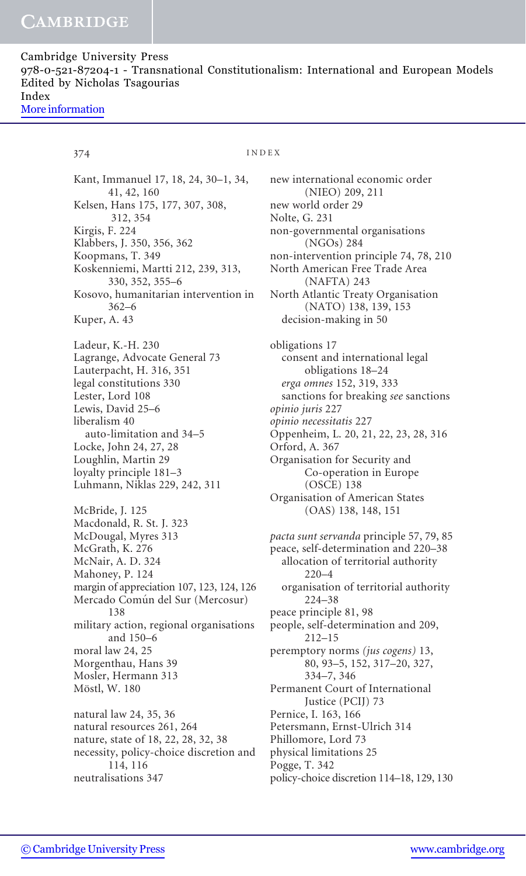374 INDEX

Kant, Immanuel 17, 18, 24, 30–1, 34, 41, 42, 160 Kelsen, Hans 175, 177, 307, 308, 312, 354 Kirgis, F. 224 Klabbers, J. 350, 356, 362 Koopmans, T. 349 Koskenniemi, Martti 212, 239, 313, 330, 352, 355–6 Kosovo, humanitarian intervention in 362–6 Kuper, A. 43 Ladeur, K.-H. 230 Lagrange, Advocate General 73 Lauterpacht, H. 316, 351 legal constitutions 330 Lester, Lord 108 Lewis, David 25–6 liberalism 40 auto-limitation and 34–5 Locke, John 24, 27, 28 Loughlin, Martin 29 loyalty principle 181–3 Luhmann, Niklas 229, 242, 311 McBride, J. 125 Macdonald, R. St. J. 323 McDougal, Myres 313 McGrath, K. 276 McNair, A. D. 324 Mahoney, P. 124 margin of appreciation 107, 123, 124, 126 Mercado Común del Sur (Mercosur) 138 military action, regional organisations and 150–6 moral law 24, 25 Morgenthau, Hans 39 Mosler, Hermann 313 Möstl, W. 180 natural law 24, 35, 36 natural resources 261, 264 nature, state of 18, 22, 28, 32, 38 necessity, policy-choice discretion and 114, 116 neutralisations 347

new international economic order (NIEO) 209, 211 new world order 29 Nolte, G. 231 non-governmental organisations (NGOs) 284 non-intervention principle 74, 78, 210 North American Free Trade Area (NAFTA) 243 North Atlantic Treaty Organisation (NATO) 138, 139, 153 decision-making in 50 obligations 17 consent and international legal obligations 18–24 erga omnes 152, 319, 333 sanctions for breaking see sanctions opinio juris 227 opinio necessitatis 227 Oppenheim, L. 20, 21, 22, 23, 28, 316 Orford, A. 367 Organisation for Security and Co-operation in Europe (OSCE) 138 Organisation of American States (OAS) 138, 148, 151 pacta sunt servanda principle 57, 79, 85 peace, self-determination and 220–38 allocation of territorial authority 220–4 organisation of territorial authority 224–38 peace principle 81, 98 people, self-determination and 209, 212–15 peremptory norms (jus cogens) 13, 80, 93–5, 152, 317–20, 327, 334–7, 346 Permanent Court of International Justice (PCIJ) 73 Pernice, I. 163, 166 Petersmann, Ernst-Ulrich 314 Phillomore, Lord 73 physical limitations 25 Pogge, T. 342 policy-choice discretion 114–18, 129, 130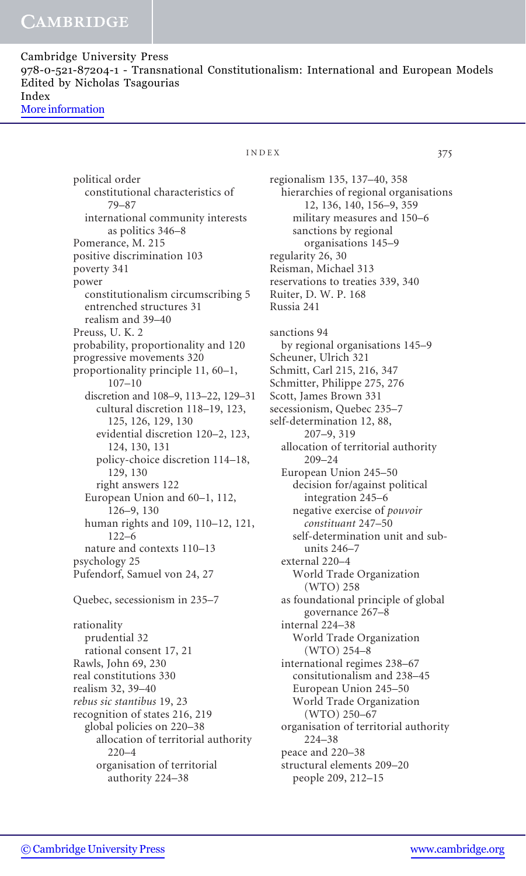> political order constitutional characteristics of 79–87 international community interests as politics 346–8 Pomerance, M. 215 positive discrimination 103 poverty 341 power constitutionalism circumscribing 5 entrenched structures 31 realism and 39–40 Preuss, U. K. 2 probability, proportionality and 120 progressive movements 320 proportionality principle 11, 60–1, 107–10 discretion and 108–9, 113–22, 129–31 cultural discretion 118–19, 123, 125, 126, 129, 130 evidential discretion 120–2, 123, 124, 130, 131 policy-choice discretion 114–18, 129, 130 right answers 122 European Union and 60–1, 112, 126–9, 130 human rights and 109, 110–12, 121,  $122–6$ nature and contexts 110–13 psychology 25 Pufendorf, Samuel von 24, 27

Quebec, secessionism in 235–7

rationality prudential 32 rational consent 17, 21 Rawls, John 69, 230 real constitutions 330 realism 32, 39–40 rebus sic stantibus 19, 23 recognition of states 216, 219 global policies on 220–38 allocation of territorial authority 220–4 organisation of territorial authority 224–38

## INDEX 375

regionalism 135, 137–40, 358 hierarchies of regional organisations 12, 136, 140, 156–9, 359 military measures and 150–6 sanctions by regional organisations 145–9 regularity 26, 30 Reisman, Michael 313 reservations to treaties 339, 340 Ruiter, D. W. P. 168 Russia 241 sanctions 94 by regional organisations 145–9 Scheuner, Ulrich 321 Schmitt, Carl 215, 216, 347 Schmitter, Philippe 275, 276 Scott, James Brown 331 secessionism, Quebec 235–7 self-determination 12, 88, 207–9, 319 allocation of territorial authority 209–24 European Union 245–50 decision for/against political integration 245–6 negative exercise of pouvoir constituant 247–50 self-determination unit and subunits 246–7 external 220–4 World Trade Organization (WTO) 258 as foundational principle of global governance 267–8 internal 224–38 World Trade Organization (WTO) 254–8 international regimes 238–67 consitutionalism and 238–45 European Union 245–50 World Trade Organization (WTO) 250–67 organisation of territorial authority 224–38 peace and 220–38 structural elements 209–20 people 209, 212–15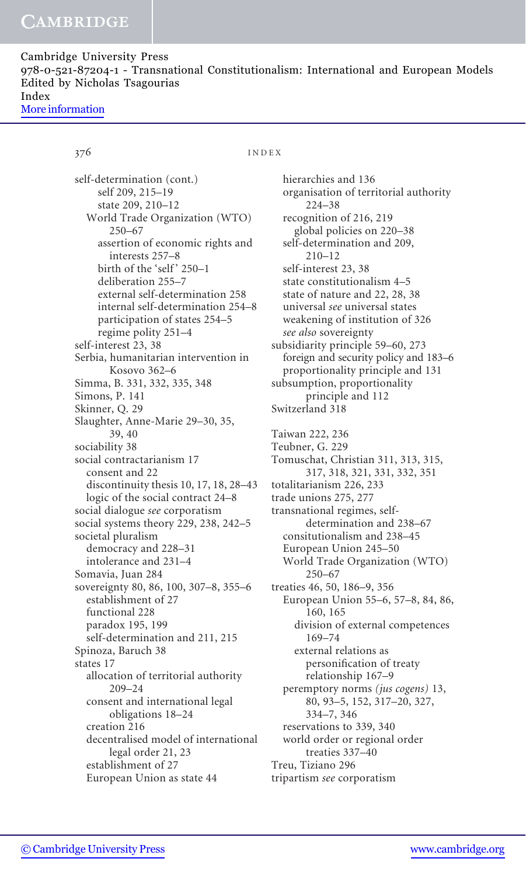### 376 INDEX

self-determination (cont.) self 209, 215–19 state 209, 210–12 World Trade Organization (WTO) 250–67 assertion of economic rights and interests 257–8 birth of the 'self' 250-1 deliberation 255–7 external self-determination 258 internal self-determination 254–8 participation of states 254–5 regime polity 251–4 self-interest 23, 38 Serbia, humanitarian intervention in Kosovo 362–6 Simma, B. 331, 332, 335, 348 Simons, P. 141 Skinner, Q. 29 Slaughter, Anne-Marie 29–30, 35, 39, 40 sociability 38 social contractarianism 17 consent and 22 discontinuity thesis 10, 17, 18, 28–43 logic of the social contract 24–8 social dialogue see corporatism social systems theory 229, 238, 242–5 societal pluralism democracy and 228–31 intolerance and 231–4 Somavia, Juan 284 sovereignty 80, 86, 100, 307–8, 355–6 establishment of 27 functional 228 paradox 195, 199 self-determination and 211, 215 Spinoza, Baruch 38 states 17 allocation of territorial authority 209–24 consent and international legal obligations 18–24 creation 216 decentralised model of international legal order 21, 23 establishment of 27 European Union as state 44

hierarchies and 136 organisation of territorial authority 224–38 recognition of 216, 219 global policies on 220–38 self-determination and 209, 210–12 self-interest 23, 38 state constitutionalism 4–5 state of nature and 22, 28, 38 universal see universal states weakening of institution of 326 see also sovereignty subsidiarity principle 59–60, 273 foreign and security policy and 183–6 proportionality principle and 131 subsumption, proportionality principle and 112 Switzerland 318 Taiwan 222, 236 Teubner, G. 229 Tomuschat, Christian 311, 313, 315, 317, 318, 321, 331, 332, 351 totalitarianism 226, 233 trade unions 275, 277 transnational regimes, selfdetermination and 238–67 consitutionalism and 238–45 European Union 245–50 World Trade Organization (WTO)  $250 - 67$ treaties 46, 50, 186–9, 356 European Union 55–6, 57–8, 84, 86, 160, 165 division of external competences 169–74 external relations as personification of treaty relationship 167–9 peremptory norms (jus cogens) 13, 80, 93–5, 152, 317–20, 327, 334–7, 346 reservations to 339, 340 world order or regional order treaties 337–40 Treu, Tiziano 296 tripartism see corporatism